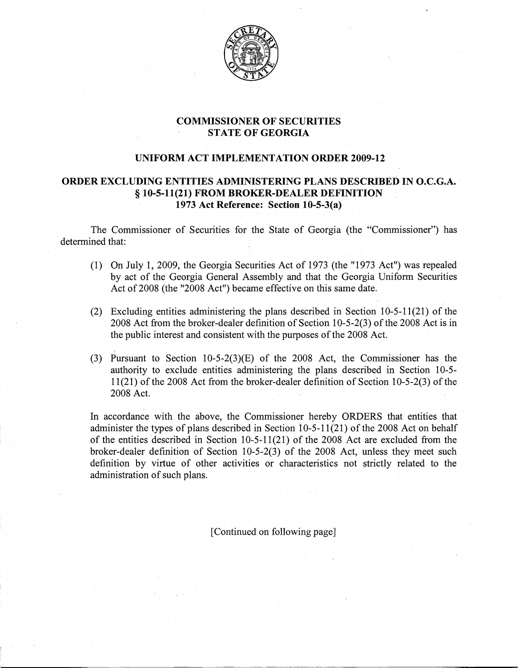

## COMMISSIONER OF SECURITIES STATE OF GEORGIA

## UNIFORM ACT IMPLEMENTATION ORDER 2009-12

## ORDER EXCLUDING ENTITIES ADMINISTERING PLANS DESCRIBED IN O.C.G.A. § 10-5-11(21) FROM BROKER-DEALER DEFINITION 1973 Act Reference: Section 10-5-3(a)

The Commissioner of Securities for the State of Georgia (the "Commissioner") has determined that:

- (1)- On July 1, 2009, the Georgia Securities Act of 1973 (the "1973 Act") was repealed by act of the Georgia General Assembly and that the Georgia Uniform Securities Act of 2008 (the "2008 Act") became effective on this same date.
- (2)- Excluding entities administering the plans described in Section 10-5-11(21) of the 2008 Act from the broker-dealer definition of Section 10-5-2(3) of the2008 Act is in the public interest and consistent with the purposes of the 2008 Act.
- $\overline{\phantom{0}}$ (3)- Pursuant to Section 10-5-2(3)(E) of the 2008 Act, the Commissioner has the authority to exclude entities administering the plans described in Section 10-5-  $11(21)$  of the 2008 Act from the broker-dealer definition of Section 10-5-2(3) of the 2008 Act.

In accordance with the above, the Commissioner hereby ORDERS that entities that administer the types of plans described in Section  $10-5-11(21)$  of the 2008 Act on behalf of the entities described in Section 10-5-11(21) of the 2008 Act are excluded from the broker-dealer definition of Section 10-5-2(3) of the 2008 Act, unless they meet such definition by virtue of other activities or characteristics not strictly related to the administration of such plans.

[Continued on following page]